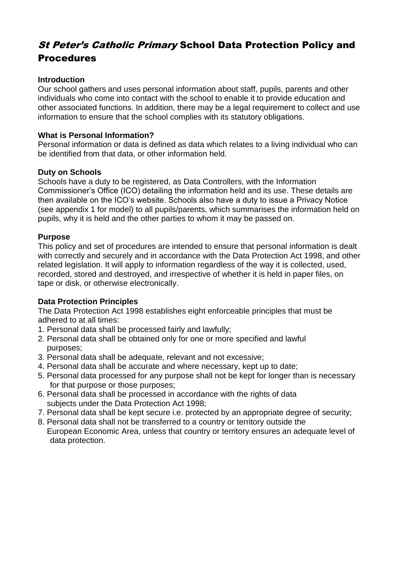# **St Peter's Catholic Primary School Data Protection Policy and** Procedures

## **Introduction**

Our school gathers and uses personal information about staff, pupils, parents and other individuals who come into contact with the school to enable it to provide education and other associated functions. In addition, there may be a legal requirement to collect and use information to ensure that the school complies with its statutory obligations.

## **What is Personal Information?**

Personal information or data is defined as data which relates to a living individual who can be identified from that data, or other information held.

## **Duty on Schools**

Schools have a duty to be registered, as Data Controllers, with the Information Commissioner's Office (ICO) detailing the information held and its use. These details are then available on the ICO's website. Schools also have a duty to issue a Privacy Notice (see appendix 1 for model) to all pupils/parents, which summarises the information held on pupils, why it is held and the other parties to whom it may be passed on.

## **Purpose**

This policy and set of procedures are intended to ensure that personal information is dealt with correctly and securely and in accordance with the Data Protection Act 1998, and other related legislation. It will apply to information regardless of the way it is collected, used, recorded, stored and destroyed, and irrespective of whether it is held in paper files, on tape or disk, or otherwise electronically.

# **Data Protection Principles**

The Data Protection Act 1998 establishes eight enforceable principles that must be adhered to at all times:

- 1. Personal data shall be processed fairly and lawfully;
- 2. Personal data shall be obtained only for one or more specified and lawful purposes;
- 3. Personal data shall be adequate, relevant and not excessive;
- 4. Personal data shall be accurate and where necessary, kept up to date;
- 5. Personal data processed for any purpose shall not be kept for longer than is necessary for that purpose or those purposes;
- 6. Personal data shall be processed in accordance with the rights of data subjects under the Data Protection Act 1998;
- 7. Personal data shall be kept secure i.e. protected by an appropriate degree of security;
- 8. Personal data shall not be transferred to a country or territory outside the European Economic Area, unless that country or territory ensures an adequate level of data protection.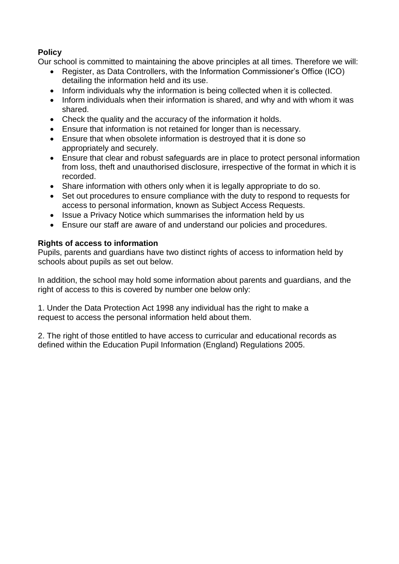# **Policy**

Our school is committed to maintaining the above principles at all times. Therefore we will:

- Register, as Data Controllers, with the Information Commissioner's Office (ICO) detailing the information held and its use.
- Inform individuals why the information is being collected when it is collected.
- Inform individuals when their information is shared, and why and with whom it was shared.
- Check the quality and the accuracy of the information it holds.
- Ensure that information is not retained for longer than is necessary.
- Ensure that when obsolete information is destroyed that it is done so appropriately and securely.
- Ensure that clear and robust safeguards are in place to protect personal information from loss, theft and unauthorised disclosure, irrespective of the format in which it is recorded.
- Share information with others only when it is legally appropriate to do so.
- Set out procedures to ensure compliance with the duty to respond to requests for access to personal information, known as Subject Access Requests.
- Issue a Privacy Notice which summarises the information held by us
- Ensure our staff are aware of and understand our policies and procedures.

## **Rights of access to information**

Pupils, parents and guardians have two distinct rights of access to information held by schools about pupils as set out below.

In addition, the school may hold some information about parents and guardians, and the right of access to this is covered by number one below only:

1. Under the Data Protection Act 1998 any individual has the right to make a request to access the personal information held about them.

2. The right of those entitled to have access to curricular and educational records as defined within the Education Pupil Information (England) Regulations 2005.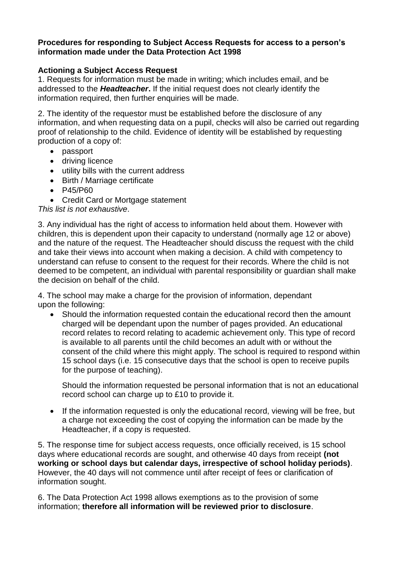## **Procedures for responding to Subject Access Requests for access to a person's information made under the Data Protection Act 1998**

# **Actioning a Subject Access Request**

1. Requests for information must be made in writing; which includes email, and be addressed to the *Headteacher***.** If the initial request does not clearly identify the information required, then further enquiries will be made.

2. The identity of the requestor must be established before the disclosure of any information, and when requesting data on a pupil, checks will also be carried out regarding proof of relationship to the child. Evidence of identity will be established by requesting production of a copy of:

- passport
- driving licence
- utility bills with the current address
- Birth / Marriage certificate
- P45/P60
- Credit Card or Mortgage statement

#### *This list is not exhaustive*.

3. Any individual has the right of access to information held about them. However with children, this is dependent upon their capacity to understand (normally age 12 or above) and the nature of the request. The Headteacher should discuss the request with the child and take their views into account when making a decision. A child with competency to understand can refuse to consent to the request for their records. Where the child is not deemed to be competent, an individual with parental responsibility or guardian shall make the decision on behalf of the child.

4. The school may make a charge for the provision of information, dependant upon the following:

 Should the information requested contain the educational record then the amount charged will be dependant upon the number of pages provided. An educational record relates to record relating to academic achievement only. This type of record is available to all parents until the child becomes an adult with or without the consent of the child where this might apply. The school is required to respond within 15 school days (i.e. 15 consecutive days that the school is open to receive pupils for the purpose of teaching).

Should the information requested be personal information that is not an educational record school can charge up to £10 to provide it.

• If the information requested is only the educational record, viewing will be free, but a charge not exceeding the cost of copying the information can be made by the Headteacher, if a copy is requested.

5. The response time for subject access requests, once officially received, is 15 school days where educational records are sought, and otherwise 40 days from receipt **(not working or school days but calendar days, irrespective of school holiday periods)**. However, the 40 days will not commence until after receipt of fees or clarification of information sought.

6. The Data Protection Act 1998 allows exemptions as to the provision of some information; **therefore all information will be reviewed prior to disclosure**.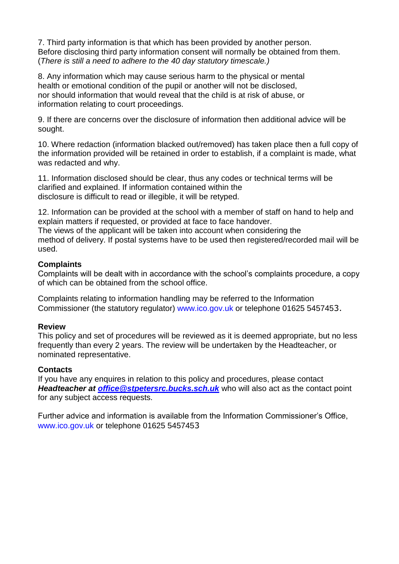7. Third party information is that which has been provided by another person. Before disclosing third party information consent will normally be obtained from them. (*There is still a need to adhere to the 40 day statutory timescale.)*

8. Any information which may cause serious harm to the physical or mental health or emotional condition of the pupil or another will not be disclosed, nor should information that would reveal that the child is at risk of abuse, or information relating to court proceedings.

9. If there are concerns over the disclosure of information then additional advice will be sought.

10. Where redaction (information blacked out/removed) has taken place then a full copy of the information provided will be retained in order to establish, if a complaint is made, what was redacted and why.

11. Information disclosed should be clear, thus any codes or technical terms will be clarified and explained. If information contained within the disclosure is difficult to read or illegible, it will be retyped.

12. Information can be provided at the school with a member of staff on hand to help and explain matters if requested, or provided at face to face handover.

The views of the applicant will be taken into account when considering the method of delivery. If postal systems have to be used then registered/recorded mail will be used.

#### **Complaints**

Complaints will be dealt with in accordance with the school's complaints procedure, a copy of which can be obtained from the school office.

Complaints relating to information handling may be referred to the Information Commissioner (the statutory regulator) www.ico.gov.uk or telephone 01625 5457453.

#### **Review**

This policy and set of procedures will be reviewed as it is deemed appropriate, but no less frequently than every 2 years. The review will be undertaken by the Headteacher, or nominated representative.

#### **Contacts**

If you have any enquires in relation to this policy and procedures, please contact *Headteacher at [office@stpetersrc.bucks.sch.uk](mailto:office@stpetersrc.bucks.sch.uk)* who will also act as the contact point for any subject access requests.

Further advice and information is available from the Information Commissioner's Office, www.ico.gov.uk or telephone 01625 5457453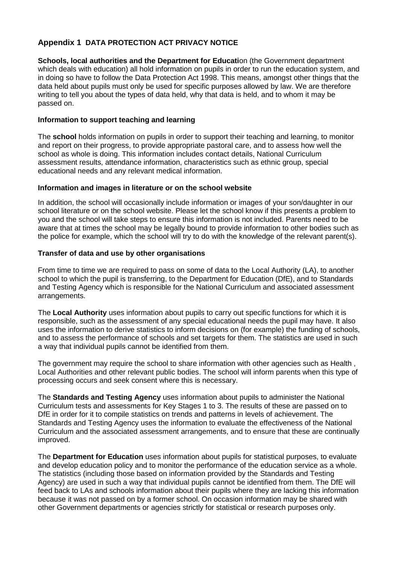## **Appendix 1 DATA PROTECTION ACT PRIVACY NOTICE**

**Schools, local authorities and the Department for Educati**on (the Government department which deals with education) all hold information on pupils in order to run the education system, and in doing so have to follow the Data Protection Act 1998. This means, amongst other things that the data held about pupils must only be used for specific purposes allowed by law. We are therefore writing to tell you about the types of data held, why that data is held, and to whom it may be passed on.

#### **Information to support teaching and learning**

The **school** holds information on pupils in order to support their teaching and learning, to monitor and report on their progress, to provide appropriate pastoral care, and to assess how well the school as whole is doing. This information includes contact details, National Curriculum assessment results, attendance information, characteristics such as ethnic group, special educational needs and any relevant medical information.

#### **Information and images in literature or on the school website**

In addition, the school will occasionally include information or images of your son/daughter in our school literature or on the school website. Please let the school know if this presents a problem to you and the school will take steps to ensure this information is not included. Parents need to be aware that at times the school may be legally bound to provide information to other bodies such as the police for example, which the school will try to do with the knowledge of the relevant parent(s).

#### **Transfer of data and use by other organisations**

From time to time we are required to pass on some of data to the Local Authority (LA), to another school to which the pupil is transferring, to the Department for Education (DfE), and to Standards and Testing Agency which is responsible for the National Curriculum and associated assessment arrangements.

The **Local Authority** uses information about pupils to carry out specific functions for which it is responsible, such as the assessment of any special educational needs the pupil may have. It also uses the information to derive statistics to inform decisions on (for example) the funding of schools, and to assess the performance of schools and set targets for them. The statistics are used in such a way that individual pupils cannot be identified from them.

The government may require the school to share information with other agencies such as Health , Local Authorities and other relevant public bodies. The school will inform parents when this type of processing occurs and seek consent where this is necessary.

The **Standards and Testing Agency** uses information about pupils to administer the National Curriculum tests and assessments for Key Stages 1 to 3. The results of these are passed on to DfE in order for it to compile statistics on trends and patterns in levels of achievement. The Standards and Testing Agency uses the information to evaluate the effectiveness of the National Curriculum and the associated assessment arrangements, and to ensure that these are continually improved.

The **Department for Education** uses information about pupils for statistical purposes, to evaluate and develop education policy and to monitor the performance of the education service as a whole. The statistics (including those based on information provided by the Standards and Testing Agency) are used in such a way that individual pupils cannot be identified from them. The DfE will feed back to LAs and schools information about their pupils where they are lacking this information because it was not passed on by a former school. On occasion information may be shared with other Government departments or agencies strictly for statistical or research purposes only.